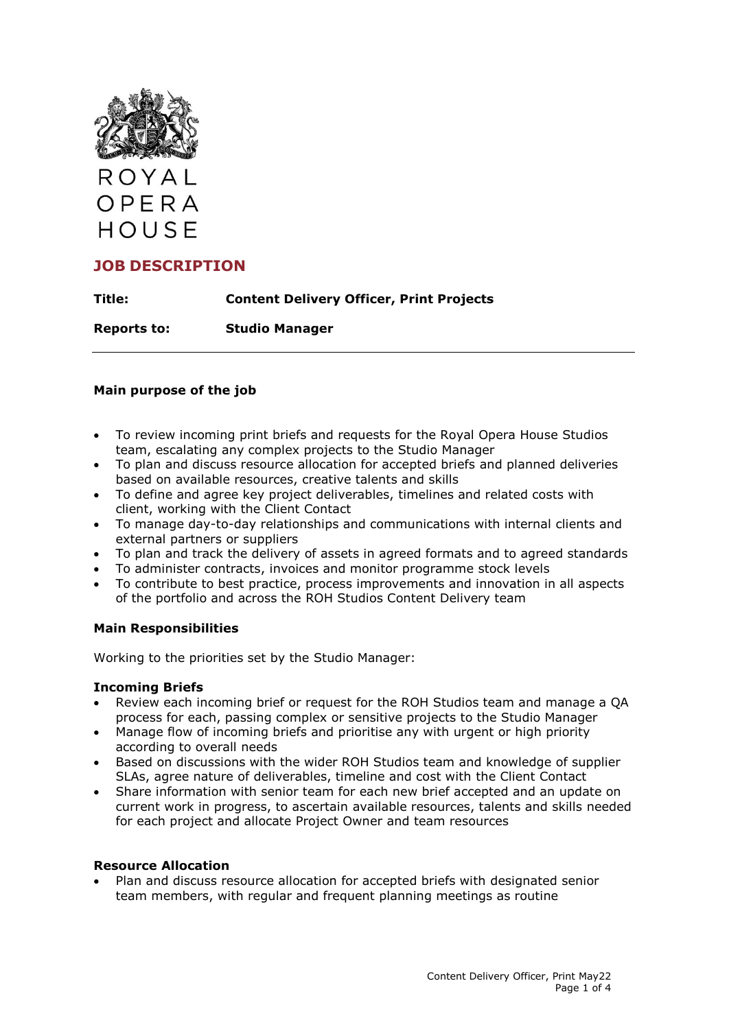

OPERA HOUSE

# **JOB DESCRIPTION**

**Title: Content Delivery Officer, Print Projects**

**Reports to: Studio Manager**

# **Main purpose of the job**

- To review incoming print briefs and requests for the Royal Opera House Studios team, escalating any complex projects to the Studio Manager
- To plan and discuss resource allocation for accepted briefs and planned deliveries based on available resources, creative talents and skills
- To define and agree key project deliverables, timelines and related costs with client, working with the Client Contact
- To manage day-to-day relationships and communications with internal clients and external partners or suppliers
- To plan and track the delivery of assets in agreed formats and to agreed standards
- To administer contracts, invoices and monitor programme stock levels
- To contribute to best practice, process improvements and innovation in all aspects of the portfolio and across the ROH Studios Content Delivery team

#### **Main Responsibilities**

Working to the priorities set by the Studio Manager:

#### **Incoming Briefs**

- Review each incoming brief or request for the ROH Studios team and manage a QA process for each, passing complex or sensitive projects to the Studio Manager
- Manage flow of incoming briefs and prioritise any with urgent or high priority according to overall needs
- Based on discussions with the wider ROH Studios team and knowledge of supplier SLAs, agree nature of deliverables, timeline and cost with the Client Contact
- Share information with senior team for each new brief accepted and an update on current work in progress, to ascertain available resources, talents and skills needed for each project and allocate Project Owner and team resources

#### **Resource Allocation**

• Plan and discuss resource allocation for accepted briefs with designated senior team members, with regular and frequent planning meetings as routine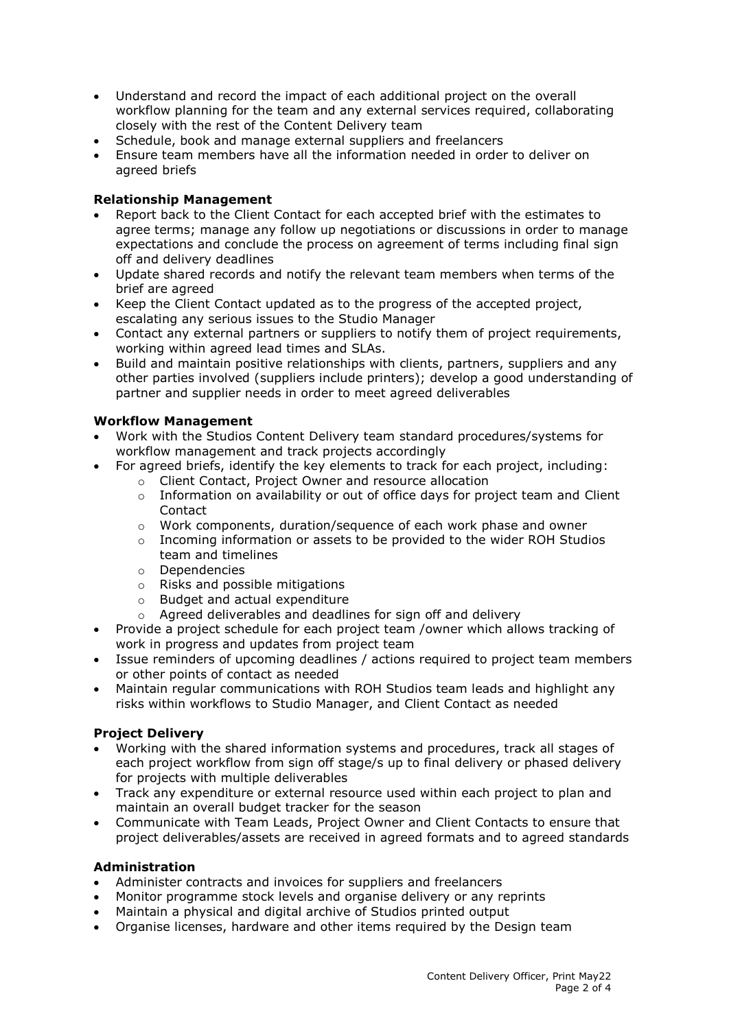- Understand and record the impact of each additional project on the overall workflow planning for the team and any external services required, collaborating closely with the rest of the Content Delivery team
- Schedule, book and manage external suppliers and freelancers
- Ensure team members have all the information needed in order to deliver on agreed briefs

# **Relationship Management**

- Report back to the Client Contact for each accepted brief with the estimates to agree terms; manage any follow up negotiations or discussions in order to manage expectations and conclude the process on agreement of terms including final sign off and delivery deadlines
- Update shared records and notify the relevant team members when terms of the brief are agreed
- Keep the Client Contact updated as to the progress of the accepted project, escalating any serious issues to the Studio Manager
- Contact any external partners or suppliers to notify them of project requirements, working within agreed lead times and SLAs.
- Build and maintain positive relationships with clients, partners, suppliers and any other parties involved (suppliers include printers); develop a good understanding of partner and supplier needs in order to meet agreed deliverables

# **Workflow Management**

- Work with the Studios Content Delivery team standard procedures/systems for workflow management and track projects accordingly
- For agreed briefs, identify the key elements to track for each project, including:
	- o Client Contact, Project Owner and resource allocation
	- $\circ$  Information on availability or out of office days for project team and Client Contact
	- $\circ$  Work components, duration/sequence of each work phase and owner
	- $\circ$  Incoming information or assets to be provided to the wider ROH Studios team and timelines
	- o Dependencies
	- o Risks and possible mitigations
	- o Budget and actual expenditure
	- o Agreed deliverables and deadlines for sign off and delivery
- Provide a project schedule for each project team /owner which allows tracking of work in progress and updates from project team
- Issue reminders of upcoming deadlines / actions required to project team members or other points of contact as needed
- Maintain regular communications with ROH Studios team leads and highlight any risks within workflows to Studio Manager, and Client Contact as needed

#### **Project Delivery**

- Working with the shared information systems and procedures, track all stages of each project workflow from sign off stage/s up to final delivery or phased delivery for projects with multiple deliverables
- Track any expenditure or external resource used within each project to plan and maintain an overall budget tracker for the season
- Communicate with Team Leads, Project Owner and Client Contacts to ensure that project deliverables/assets are received in agreed formats and to agreed standards

#### **Administration**

- Administer contracts and invoices for suppliers and freelancers
- Monitor programme stock levels and organise delivery or any reprints
- Maintain a physical and digital archive of Studios printed output
- Organise licenses, hardware and other items required by the Design team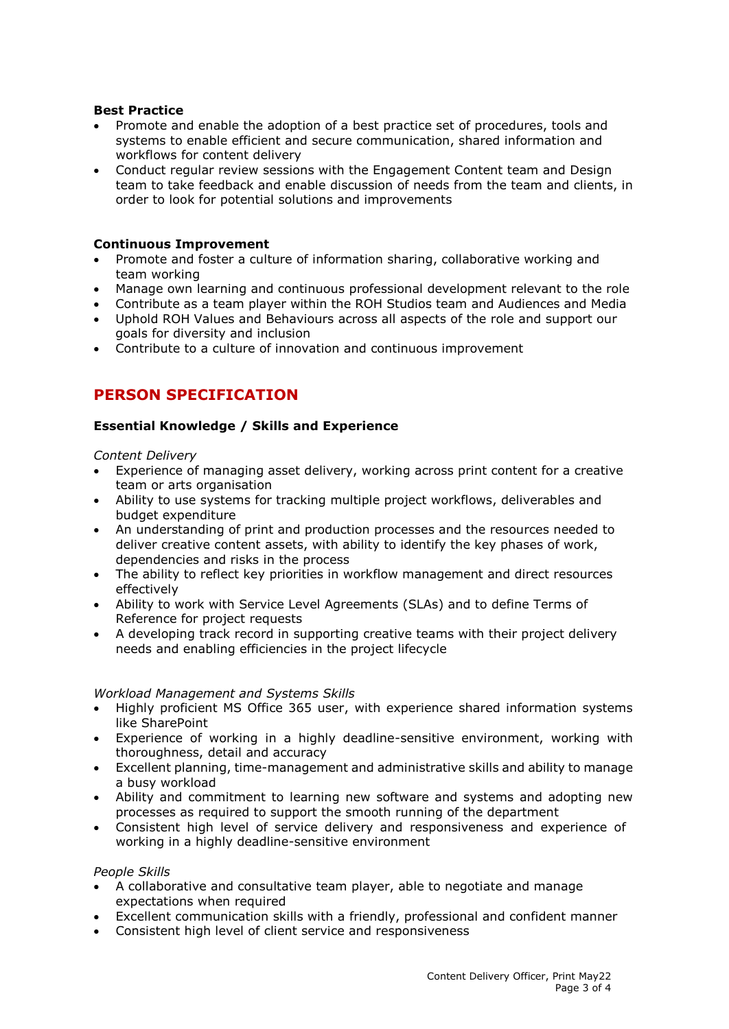## **Best Practice**

- Promote and enable the adoption of a best practice set of procedures, tools and systems to enable efficient and secure communication, shared information and workflows for content delivery
- Conduct regular review sessions with the Engagement Content team and Design team to take feedback and enable discussion of needs from the team and clients, in order to look for potential solutions and improvements

## **Continuous Improvement**

- Promote and foster a culture of information sharing, collaborative working and team working
- Manage own learning and continuous professional development relevant to the role
- Contribute as a team player within the ROH Studios team and Audiences and Media
- Uphold ROH Values and Behaviours across all aspects of the role and support our goals for diversity and inclusion
- Contribute to a culture of innovation and continuous improvement

# **PERSON SPECIFICATION**

## **Essential Knowledge / Skills and Experience**

*Content Delivery*

- Experience of managing asset delivery, working across print content for a creative team or arts organisation
- Ability to use systems for tracking multiple project workflows, deliverables and budget expenditure
- An understanding of print and production processes and the resources needed to deliver creative content assets, with ability to identify the key phases of work, dependencies and risks in the process
- The ability to reflect key priorities in workflow management and direct resources effectively
- Ability to work with Service Level Agreements (SLAs) and to define Terms of Reference for project requests
- A developing track record in supporting creative teams with their project delivery needs and enabling efficiencies in the project lifecycle

*Workload Management and Systems Skills*

- Highly proficient MS Office 365 user, with experience shared information systems like SharePoint
- Experience of working in a highly deadline-sensitive environment, working with thoroughness, detail and accuracy
- Excellent planning, time-management and administrative skills and ability to manage a busy workload
- Ability and commitment to learning new software and systems and adopting new processes as required to support the smooth running of the department
- Consistent high level of service delivery and responsiveness and experience of working in a highly deadline-sensitive environment

#### *People Skills*

- A collaborative and consultative team player, able to negotiate and manage expectations when required
- Excellent communication skills with a friendly, professional and confident manner
- Consistent high level of client service and responsiveness